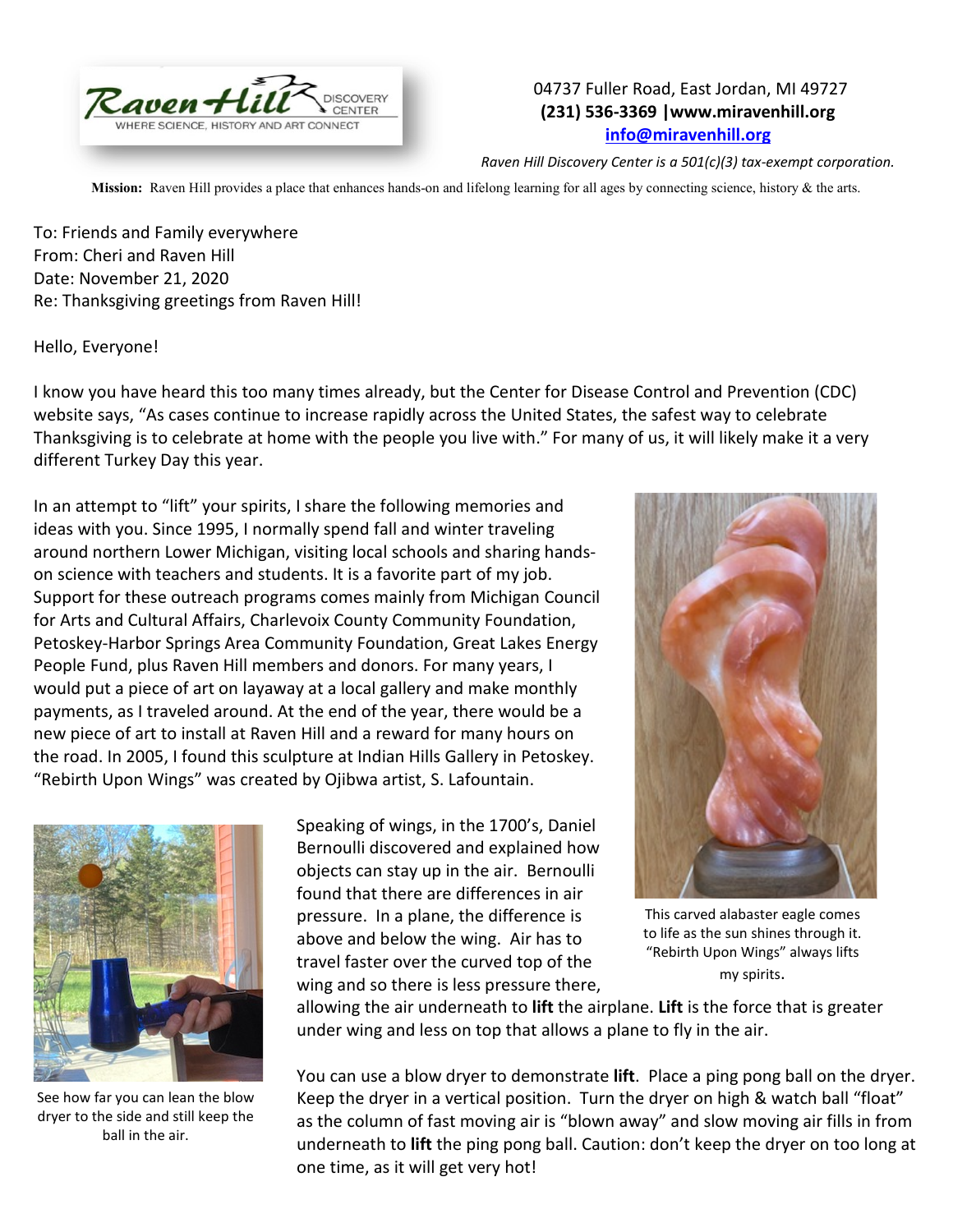

## 04737 Fuller Road, East Jordan, MI 49727 **(231) 536-3369 |www.miravenhill.org [info@miravenhill.org](mailto:info@miravenhill.org)**

*Raven Hill Discovery Center is a 501(c)(3) tax-exempt corporation.*

**Mission:** Raven Hill provides a place that enhances hands-on and lifelong learning for all ages by connecting science, history & the arts.

To: Friends and Family everywhere From: Cheri and Raven Hill Date: November 21, 2020 Re: Thanksgiving greetings from Raven Hill!

Hello, Everyone!

I know you have heard this too many times already, but the Center for Disease Control and Prevention (CDC) website says, "As cases continue to increase rapidly across the United States, the safest way to celebrate Thanksgiving is to celebrate at home with the people you live with." For many of us, it will likely make it a very different Turkey Day this year.

In an attempt to "lift" your spirits, I share the following memories and ideas with you. Since 1995, I normally spend fall and winter traveling around northern Lower Michigan, visiting local schools and sharing handson science with teachers and students. It is a favorite part of my job. Support for these outreach programs comes mainly from Michigan Council for Arts and Cultural Affairs, Charlevoix County Community Foundation, Petoskey-Harbor Springs Area Community Foundation, Great Lakes Energy People Fund, plus Raven Hill members and donors. For many years, I would put a piece of art on layaway at a local gallery and make monthly payments, as I traveled around. At the end of the year, there would be a new piece of art to install at Raven Hill and a reward for many hours on the road. In 2005, I found this sculpture at Indian Hills Gallery in Petoskey. "Rebirth Upon Wings" was created by Ojibwa artist, S. Lafountain.



See how far you can lean the blow dryer to the side and still keep the ball in the air.

Speaking of wings, in the 1700's, Daniel Bernoulli discovered and explained how objects can stay up in the air. Bernoulli found that there are differences in air pressure. In a plane, the difference is above and below the wing. Air has to travel faster over the curved top of the wing and so there is less pressure there,



This carved alabaster eagle comes to life as the sun shines through it. "Rebirth Upon Wings" always lifts my spirits.

allowing the air underneath to **lift** the airplane. **Lift** is the force that is greater under wing and less on top that allows a plane to fly in the air.

You can use a blow dryer to demonstrate **lift**. Place a ping pong ball on the dryer. Keep the dryer in a vertical position. Turn the dryer on high & watch ball "float" as the column of fast moving air is "blown away" and slow moving air fills in from underneath to **lift** the ping pong ball. Caution: don't keep the dryer on too long at one time, as it will get very hot!